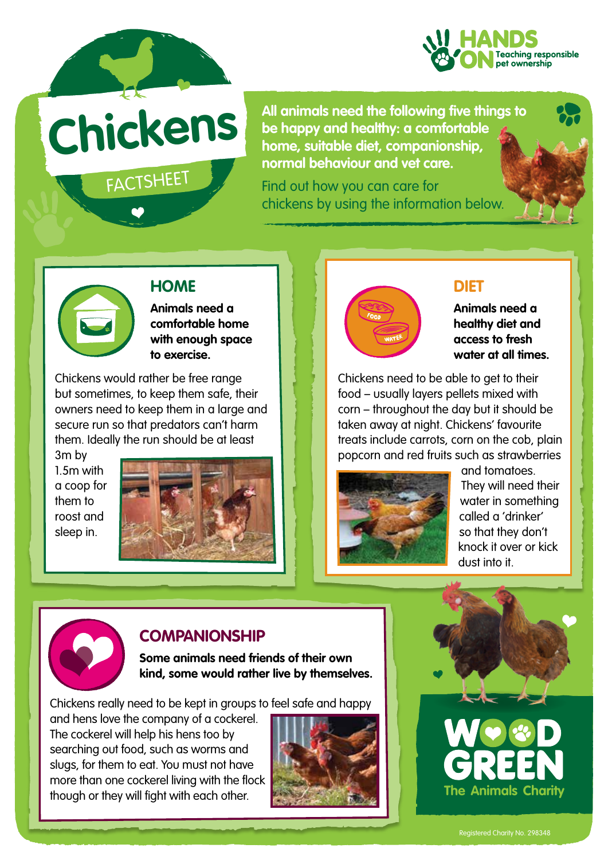

FACTSHEET

**All animals need the following five things to be happy and healthy: a comfortable**  $\epsilon$ **be happy and healthy: a comfortable home, suitable diet, companionship, normal behaviour and vet care.** 

> Find out how you can care for chickens by using the information below.





## **HOME**

**Animals need a comfortable home with enough space to exercise.**

Chickens would rather be free range but sometimes, to keep them safe, their owners need to keep them in a large and secure run so that predators can't harm them. Ideally the run should be at least

3m by 1.5m with a coop for them to roost and sleep in.





### **DIET**

**Animals need a healthy diet and access to fresh water at all times.**

Chickens need to be able to get to their food – usually layers pellets mixed with corn – throughout the day but it should be taken away at night. Chickens' favourite treats include carrots, corn on the cob, plain popcorn and red fruits such as strawberries



and tomatoes. They will need their water in something called a 'drinker' so that they don't knock it over or kick dust into it.



## **COMPANIONSHIP**

**Some animals need friends of their own kind, some would rather live by themselves.** 

Chickens really need to be kept in groups to feel safe and happy

and hens love the company of a cockerel. The cockerel will help his hens too by searching out food, such as worms and slugs, for them to eat. You must not have more than one cockerel living with the flock though or they will fight with each other.